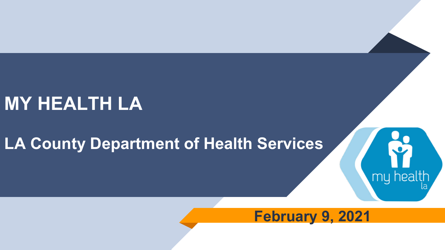### **MY HEALTH LA**

### **LA County Department of Health Services**

### **February 9, 2021**

my health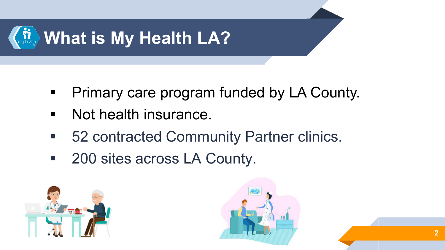

- **Primary care program funded by LA County.**
- **Not health insurance.**
- 52 contracted Community Partner clinics.
- 200 sites across LA County.



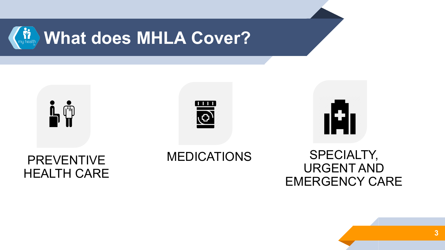







#### **PREVENTIVE** HEALTH CARE

#### MEDICATIONS SPECIALTY, URGENT AND EMERGENCY CARE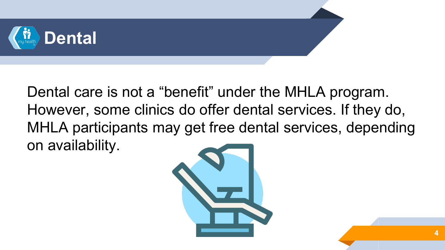

Dental care is not a "benefit" under the MHLA program. However, some clinics do offer dental services. If they do, MHLA participants may get free dental services, depending on availability.

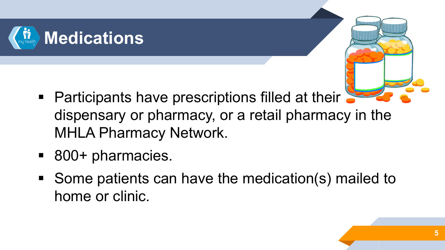

- 
- Participants have prescriptions filled at their dispensary or pharmacy, or a retail pharmacy in the MHLA Pharmacy Network.
- 800+ pharmacies.
- Some patients can have the medication(s) mailed to home or clinic.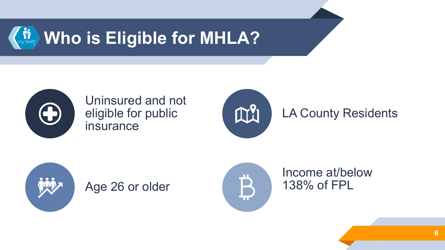



Uninsured and not eligible for public insurance



LA County Residents



Age 26 or older



Income at/below 138% of FPL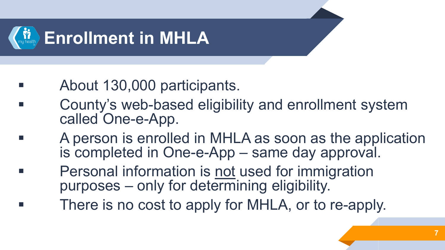

- **About 130,000 participants.**
- County's web-based eligibility and enrollment system called One-e-App.
	- A person is enrolled in MHLA as soon as the application is completed in One-e-App – same day approval.
		- Personal information is not used for immigration purposes – only for determining eligibility.
		- There is no cost to apply for MHLA, or to re-apply.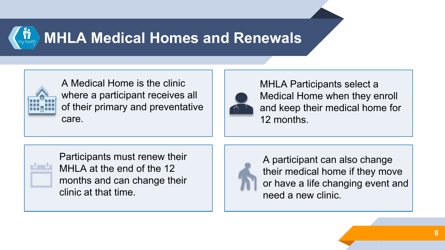## **MHLA Medical Homes and Renewals**



A Medical Home is the clinic where a participant receives all of their primary and preventative care.



MHLA Participants select a Medical Home when they enroll and keep their medical home for 12 months.



Participants must renew their MHLA at the end of the 12 months and can change their clinic at that time.



A participant can also change their medical home if they move or have a life changing event and need a new clinic.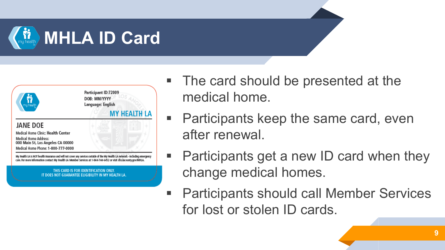



- The card should be presented at the medical home.
- **Participants keep the same card, even** after renewal.
- Participants get a new ID card when they change medical homes.
- Participants should call Member Services for lost or stolen ID cards.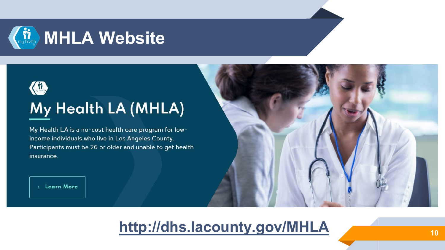



### My Health LA (MHLA)

My Health LA is a no-cost health care program for lowincome individuals who live in Los Angeles County. Participants must be 26 or older and unable to get health insurance.

> Learn More

### **<http://dhs.lacounty.gov/MHLA> <sup>10</sup>**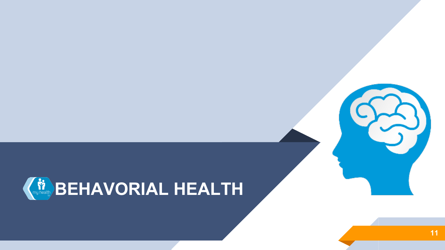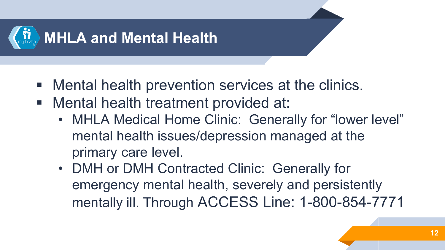

- **Mental health prevention services at the clinics.**
- **Mental health treatment provided at:** 
	- MHLA Medical Home Clinic: Generally for "lower level" mental health issues/depression managed at the primary care level.
	- DMH or DMH Contracted Clinic: Generally for emergency mental health, severely and persistently mentally ill. Through ACCESS Line: 1-800-854-7771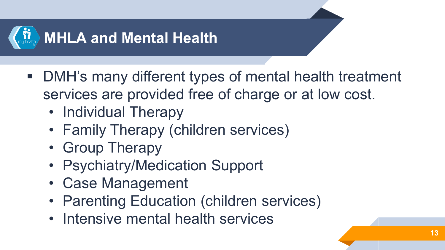

- DMH's many different types of mental health treatment services are provided free of charge or at low cost.
	- Individual Therapy
	- Family Therapy (children services)
	- Group Therapy
	- Psychiatry/Medication Support
	- Case Management
	- Parenting Education (children services)
	- Intensive mental health services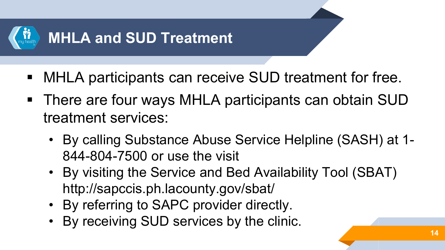

- MHLA participants can receive SUD treatment for free.
- There are four ways MHLA participants can obtain SUD treatment services:
	- By calling Substance Abuse Service Helpline (SASH) at 1- 844-804-7500 or use the visit
	- By visiting the Service and Bed Availability Tool (SBAT) http://sapccis.ph.lacounty.gov/sbat/
	- By referring to SAPC provider directly.
	- By receiving SUD services by the clinic.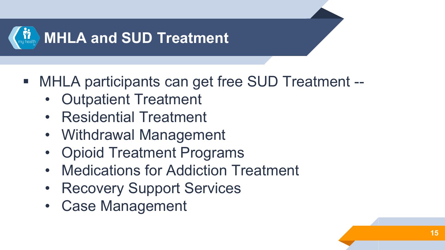

- MHLA participants can get free SUD Treatment --
	- Outpatient Treatment
	- Residential Treatment
	- Withdrawal Management
	- Opioid Treatment Programs
	- Medications for Addiction Treatment
	- Recovery Support Services
	- **Case Management**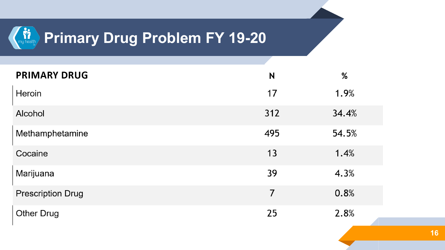# **Primary Drug Problem FY 19-20**

| <b>PRIMARY DRUG</b>      | N   | %     |
|--------------------------|-----|-------|
| Heroin                   | 17  | 1.9%  |
| Alcohol                  | 312 | 34.4% |
| Methamphetamine          | 495 | 54.5% |
| Cocaine                  | 13  | 1.4%  |
| Marijuana                | 39  | 4.3%  |
| <b>Prescription Drug</b> | 7   | 0.8%  |
| <b>Other Drug</b>        | 25  | 2.8%  |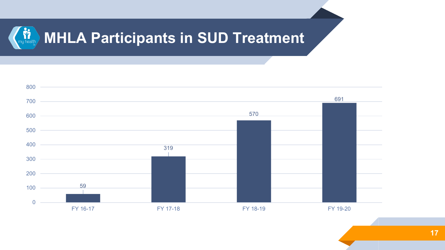#### $\sum_{m}$  health **MHLA Participants in SUD Treatment**

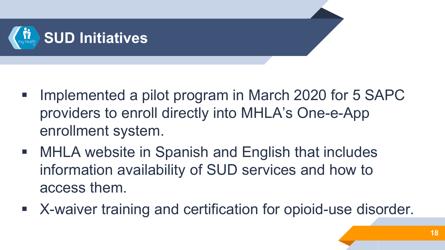

- **Implemented a pilot program in March 2020 for 5 SAPC** providers to enroll directly into MHLA's One-e-App enrollment system.
- MHLA website in Spanish and English that includes information availability of SUD services and how to access them.
- X-waiver training and certification for opioid-use disorder.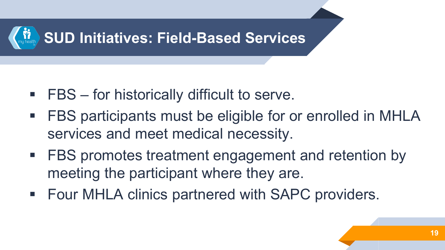

- FBS for historically difficult to serve.
- FBS participants must be eligible for or enrolled in MHLA services and meet medical necessity.
- **FBS** promotes treatment engagement and retention by meeting the participant where they are.
- **Four MHLA clinics partnered with SAPC providers.**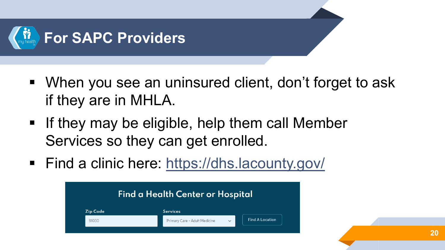

- When you see an uninsured client, don't forget to ask if they are in MHLA.
- **If they may be eligible, help them call Member** Services so they can get enrolled.
- Find a clinic here: <https://dhs.lacounty.gov/>

| <b>Find a Health Center or Hospital</b> |                                               |                        |  |
|-----------------------------------------|-----------------------------------------------|------------------------|--|
| <b>Zip Code</b>                         | <b>Services</b>                               |                        |  |
| 91030                                   | Primary Care - Adult Medicine<br>$\checkmark$ | <b>Find A Location</b> |  |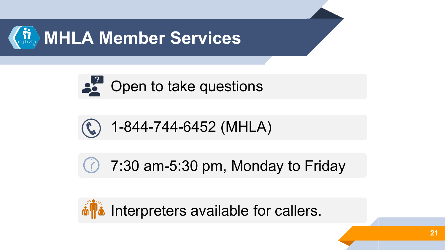





7:30 am-5:30 pm, Monday to Friday